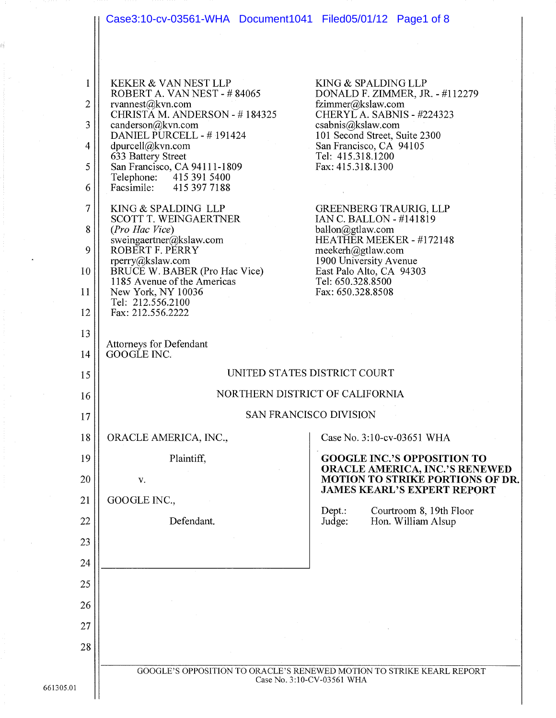

661305.01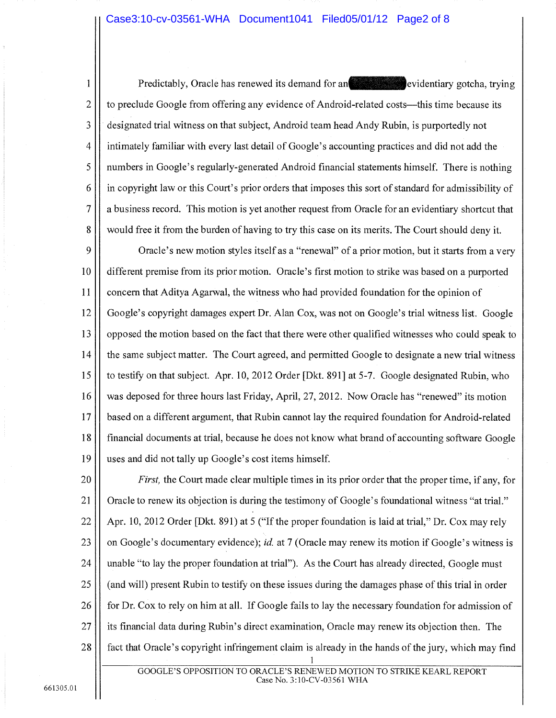#### Case3:10-cv-03561-WHA Document1041 Filed05/01/12 Page2 of 8

Predictably, Oracle has renewed its demand for an evidentiary gotcha, trying to preclude Google from offering any evidence of Android-related costs—this time because its designated trial witness on that subject, Android team head Andy Rubin, is purportedly not intimately familiar with every last detail of Google's accounting practices and did not add the numbers in Google's regularly-generated Android financial statements himself. There is nothing in copyright law or this Court's prior orders that imposes this sort of standard for admissibility of a business record. This motion is yet another request from Oracle for an evidentiary shortcut that would free it from the burden of having to try this case on its merits. The Court should deny it.

9 Oracle's new motion styles itself as a "renewal" of a prior motion, but it starts from a very 10 different premise from its prior motion. Oracle's first motion to strike was based on a purported 11 concern that Aditya Agarwal, the witness who had provided foundation for the opinion of 12 Google's copyright damages expert Dr. Alan Cox, was not on Google's trial witness list. Google opposed the motion based on the fact that there were other qualified witnesses who could speak to 13 14 the same subject matter. The Court agreed, and permitted Google to designate a new trial witness 15 to testify on that subject. Apr. 10, 2012 Order [Dkt. 891] at 5-7. Google designated Rubin, who 16 was deposed for three hours last Friday, April, 27, 2012. Now Oracle has "renewed" its motion 17 based on a different argument, that Rubin cannot lay the required foundation for Android-related 18 financial documents at trial, because he does not know what brand of accounting software Google 19 uses and did not tally up Google's cost items himself.

20 *First*, the Court made clear multiple times in its prior order that the proper time, if any, for 21 Oracle to renew its objection is during the testimony of Google's foundational witness "at trial." 22 Apr. 10, 2012 Order [Dkt. 891) at 5 ("If the proper foundation is laid at trial," Dr. Cox may rely on Google's documentary evidence); *id.* at 7 (Oracle may renew its motion if Google's witness is 23 24 unable "to lay the proper foundation at trial"). As the Court has already directed, Google must 25 (and will) present Rubin to testify on these issues during the damages phase of this trial in order 26 for Dr. Cox to rely on him at all. If Google fails to lay the necessary foundation for admission of 27 its financial data during Rubin's direct examination, Oracle may renew its objection then. The 28 fact that Oracle's copyright infringement claim is already in the hands of the jury, which may find

1

 $\overline{2}$ 

 $\overline{3}$ 

 $\overline{4}$ 

5

6

 $\overline{7}$ 

8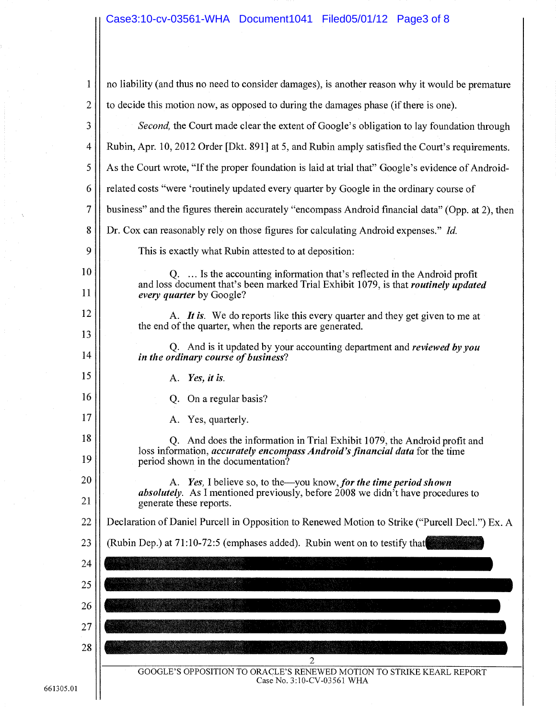# Case3:10-cv-03561-WHA Document1041 Filed05/01/12 Page3 of 8

| 1              | no liability (and thus no need to consider damages), is another reason why it would be premature                                                                      |
|----------------|-----------------------------------------------------------------------------------------------------------------------------------------------------------------------|
| $\overline{2}$ | to decide this motion now, as opposed to during the damages phase (if there is one).                                                                                  |
| 3              | Second, the Court made clear the extent of Google's obligation to lay foundation through                                                                              |
| 4              | Rubin, Apr. 10, 2012 Order [Dkt. 891] at 5, and Rubin amply satisfied the Court's requirements.                                                                       |
| 5              | As the Court wrote, "If the proper foundation is laid at trial that" Google's evidence of Android-                                                                    |
| 6              | related costs "were 'routinely updated every quarter by Google in the ordinary course of                                                                              |
| $\overline{7}$ | business" and the figures therein accurately "encompass Android financial data" (Opp. at 2), then                                                                     |
| 8              | Dr. Cox can reasonably rely on those figures for calculating Android expenses." Id.                                                                                   |
| 9              | This is exactly what Rubin attested to at deposition:                                                                                                                 |
| 10<br>11       | Q.  Is the accounting information that's reflected in the Android profit<br>and loss document that's been marked Trial Exhibit 1079, is that <i>routinely updated</i> |
|                | every quarter by Google?                                                                                                                                              |
| 12             | A. It is. We do reports like this every quarter and they get given to me at<br>the end of the quarter, when the reports are generated.                                |
| 13<br>14       | Q. And is it updated by your accounting department and reviewed by you<br>in the ordinary course of business?                                                         |
| 15             | A. Yes, it is.                                                                                                                                                        |
| 16             | On a regular basis?<br>Q.                                                                                                                                             |
| 17             | A. Yes, quarterly.                                                                                                                                                    |
| 18             | Q. And does the information in Trial Exhibit 1079, the Android profit and                                                                                             |
| 19             | loss information, accurately encompass Android's financial data for the time<br>period shown in the documentation?                                                    |
| 20             | A. Yes, I believe so, to the—you know, for the time period shown                                                                                                      |
| 21             | <i>absolutely</i> . As I mentioned previously, before 2008 we didn <sup>7</sup> t have procedures to<br>generate these reports.                                       |
| 22             | Declaration of Daniel Purcell in Opposition to Renewed Motion to Strike ("Purcell Decl.") Ex. A                                                                       |
| 23             | (Rubin Dep.) at 71:10-72:5 (emphases added). Rubin went on to testify that                                                                                            |
| 24             |                                                                                                                                                                       |
| 25             |                                                                                                                                                                       |
| 26             |                                                                                                                                                                       |
| 27             |                                                                                                                                                                       |
| 28             |                                                                                                                                                                       |
|                | $\mathbf{2}$<br>GOOGLE'S OPPOSITION TO ORACLE'S RENEWED MOTION TO STRIKE KEARL REPORT                                                                                 |
|                | Case No. 3:10-CV-03561 WHA                                                                                                                                            |
|                |                                                                                                                                                                       |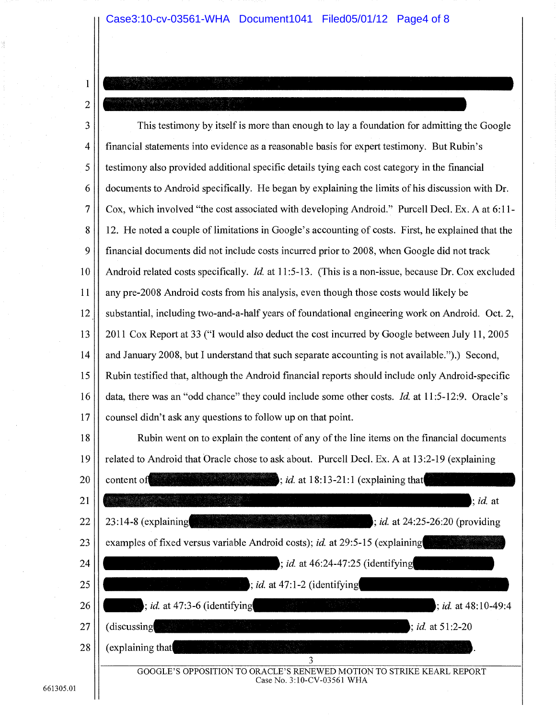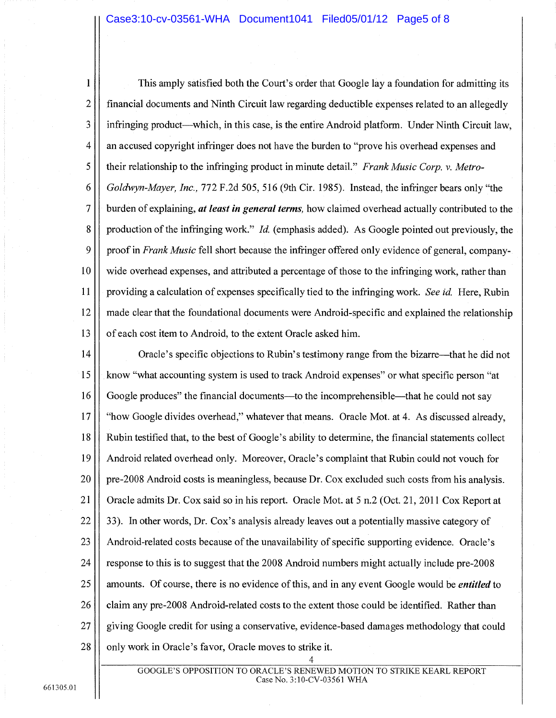This amply satisfied both the Court's order that Google lay a foundation for admitting its 1  $\overline{2}$ financial documents and Ninth Circuit law regarding deductible expenses related to an allegedly  $\overline{3}$ infringing product—which, in this case, is the entire Android platform. Under Ninth Circuit law, 4 an accused copyright infringer does not have the burden to "prove his overhead expenses and 5 their relationship to the infringing product in minute detail." *Frank Music Corp. v. Metro-*6 *Goldwyn-Mayer, Inc.,* 772 F.2d 505, 516 (9th Cir. 1985). Instead, the infringer bears only "the  $\overline{7}$ burden of explaining, *at least in general terms,* how claimed overhead actually contributed to the 8 production of the infringing work." *Id.* (emphasis added). As Google pointed out previously, the 9 proof in *Frank Music* fell short because the infringer offered only evidence of general, company-10 wide overhead expenses, and attributed a percentage of those to the infringing work, rather than 11 providing a calculation of expenses specifically tied to the infringing work. *See id.* Here, Rubin 12 made clear that the foundational documents were Android-specific and explained the relationship 13 of each cost item to Android, to the extent Oracle asked him.

14 Oracle's specific objections to Rubin's testimony range from the bizarre—that he did not 15 know "what accounting system is used to track Android expenses" or what specific person "at 16 Google produces" the financial documents—to the incomprehensible—that he could not say  $17$ "how Google divides overhead," whatever that means. Oracle Mot. at 4. As discussed already, 18 Rubin testified that, to the best of Google's ability to determine, the financial statements collect 19 Android related overhead only. Moreover, Oracle's complaint that Rubin could not vouch for 20 pre-2008 Android costs is meaningless, because Dr. Cox excluded such costs from his analysis. 21 Oracle admits Dr. Cox said so in his report. Oracle Mot. at 5 n.2 (Oct. 21, 2011 Cox Report at 22 33). In other words, Dr. Cox's analysis already leaves out a potentially massive category of 23 Android-related costs because of the unavailability of specific supporting evidence. Oracle's 24 response to this is to suggest that the 2008 Android numbers might actually include pre-2008 25 amounts. Of course, there is no evidence of this, and in any event Google would be *entitled* to 26 claim any pre-2008 Android-related costs to the extent those could be identified. Rather than 27 giving Google credit for using a conservative, evidence-based damages methodology that could 28 only work in Oracle's favor, Oracle moves to strike it.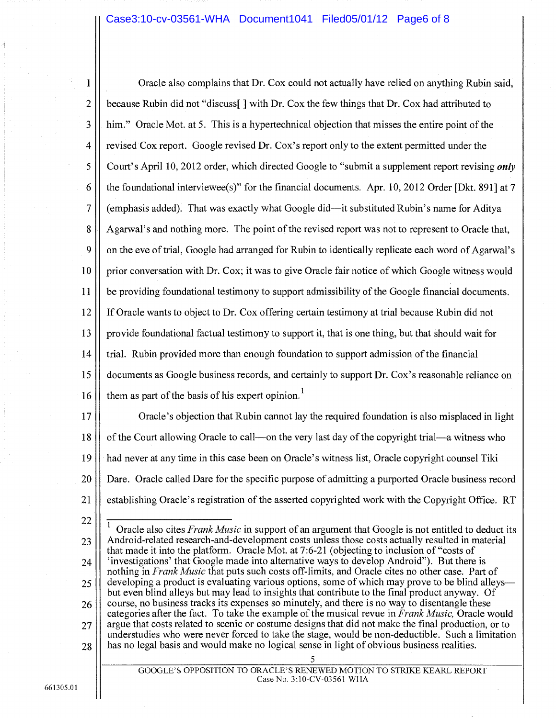### Case3:10-cv-03561-WHA Document1041 Filed05/01/12 Page6 of 8

| 1               | Oracle also complains that Dr. Cox could not actually have relied on anything Rubin said,                                                                                                         |
|-----------------|---------------------------------------------------------------------------------------------------------------------------------------------------------------------------------------------------|
| $\overline{2}$  | because Rubin did not "discuss[] with Dr. Cox the few things that Dr. Cox had attributed to                                                                                                       |
| 3               | him." Oracle Mot. at 5. This is a hypertechnical objection that misses the entire point of the                                                                                                    |
| $\overline{4}$  | revised Cox report. Google revised Dr. Cox's report only to the extent permitted under the                                                                                                        |
| 5               | Court's April 10, 2012 order, which directed Google to "submit a supplement report revising only                                                                                                  |
| 6               | the foundational interviewee(s)" for the financial documents. Apr. 10, 2012 Order [Dkt. 891] at 7                                                                                                 |
| 7               | (emphasis added). That was exactly what Google did—it substituted Rubin's name for Aditya                                                                                                         |
| 8               | Agarwal's and nothing more. The point of the revised report was not to represent to Oracle that,                                                                                                  |
| 9               | on the eve of trial, Google had arranged for Rubin to identically replicate each word of Agarwal's                                                                                                |
| 10              | prior conversation with Dr. Cox; it was to give Oracle fair notice of which Google witness would                                                                                                  |
| 11              | be providing foundational testimony to support admissibility of the Google financial documents.                                                                                                   |
| 12              | If Oracle wants to object to Dr. Cox offering certain testimony at trial because Rubin did not                                                                                                    |
| 13              | provide foundational factual testimony to support it, that is one thing, but that should wait for                                                                                                 |
| 14              | trial. Rubin provided more than enough foundation to support admission of the financial                                                                                                           |
| 15              | documents as Google business records, and certainly to support Dr. Cox's reasonable reliance on                                                                                                   |
| 16              | them as part of the basis of his expert opinion. <sup>1</sup>                                                                                                                                     |
| 17              | Oracle's objection that Rubin cannot lay the required foundation is also misplaced in light                                                                                                       |
| 18              | of the Court allowing Oracle to call—on the very last day of the copyright trial—a witness who                                                                                                    |
| 19              | had never at any time in this case been on Oracle's witness list, Oracle copyright counsel Tiki                                                                                                   |
| 20 <sub>1</sub> | Dare. Oracle called Dare for the specific purpose of admitting a purported Oracle business record                                                                                                 |
| 21              | establishing Oracle's registration of the asserted copyrighted work with the Copyright Office. RT                                                                                                 |
| 22              | 1<br>Oracle also cites Frank Music in support of an argument that Google is not entitled to deduct its                                                                                            |
| 23              | Android-related research-and-development costs unless those costs actually resulted in material<br>that made it into the platform. Oracle Mot. at 7:6-21 (objecting to inclusion of "costs of     |
| 24              | 'investigations' that Google made into alternative ways to develop Android"). But there is<br>nothing in Frank Music that puts such costs off-limits, and Oracle cites no other case. Part of     |
| 25              | developing a product is evaluating various options, some of which may prove to be blind alleys—<br>but even blind alleys but may lead to insights that contribute to the final product anyway. Of |
| 26              | course, no business tracks its expenses so minutely, and there is no way to disentangle these<br>categories after the fact. To take the example of the musical revue in Frank Music, Oracle would |
| 27              | argue that costs related to scenic or costume designs that did not make the final production, or to                                                                                               |

argue that costs related to scenic or costume designs that did not make the final production, or to understudies who were never forced to take the stage, would be non-deductible. Such a limitation has no legal basis and would make no logical sense in light of obvious business realities. 28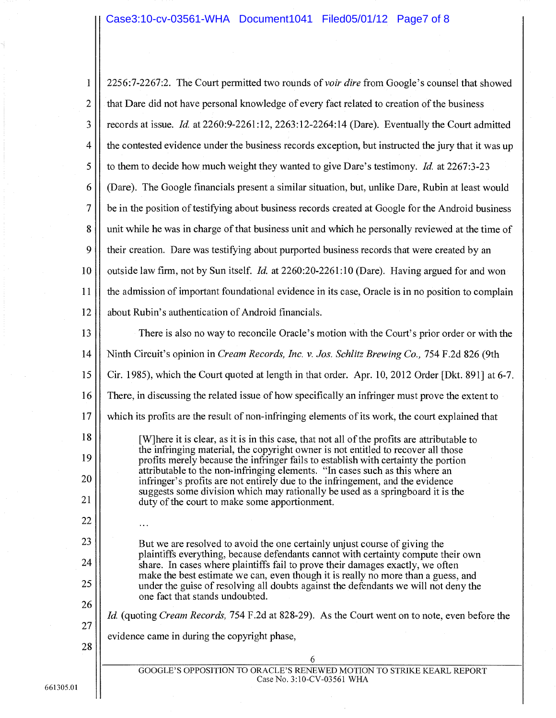## Case3:10-cv-03561-WHA Document1041 Filed05/01/12 Page7 of 8

| $\mathbf{1}$   | 2256:7-2267:2. The Court permitted two rounds of <i>voir dire</i> from Google's counsel that showed                                                                               |
|----------------|-----------------------------------------------------------------------------------------------------------------------------------------------------------------------------------|
| $\overline{c}$ | that Dare did not have personal knowledge of every fact related to creation of the business                                                                                       |
| 3              | records at issue. Id. at 2260:9-2261:12, 2263:12-2264:14 (Dare). Eventually the Court admitted                                                                                    |
| 4              | the contested evidence under the business records exception, but instructed the jury that it was up                                                                               |
| 5              | to them to decide how much weight they wanted to give Dare's testimony. <i>Id.</i> at 2267:3-23                                                                                   |
| 6              | (Dare). The Google financials present a similar situation, but, unlike Dare, Rubin at least would                                                                                 |
| 7              | be in the position of testifying about business records created at Google for the Android business                                                                                |
| 8              | unit while he was in charge of that business unit and which he personally reviewed at the time of                                                                                 |
| 9              | their creation. Dare was testifying about purported business records that were created by an                                                                                      |
| 10             | outside law firm, not by Sun itself. <i>Id.</i> at 2260:20-2261:10 (Dare). Having argued for and won                                                                              |
| 11             | the admission of important foundational evidence in its case, Oracle is in no position to complain                                                                                |
| 12             | about Rubin's authentication of Android financials.                                                                                                                               |
| 13             | There is also no way to reconcile Oracle's motion with the Court's prior order or with the                                                                                        |
| 14             | Ninth Circuit's opinion in Cream Records, Inc. v. Jos. Schlitz Brewing Co., 754 F.2d 826 (9th                                                                                     |
| 15             | Cir. 1985), which the Court quoted at length in that order. Apr. 10, 2012 Order [Dkt. 891] at 6-7.                                                                                |
| 16             | There, in discussing the related issue of how specifically an infringer must prove the extent to                                                                                  |
| 17             | which its profits are the result of non-infringing elements of its work, the court explained that                                                                                 |
| 18             | [W] here it is clear, as it is in this case, that not all of the profits are attributable to<br>the infringing material, the copyright owner is not entitled to recover all those |
| 19             | profits merely because the infringer fails to establish with certainty the portion<br>attributable to the non-infringing elements. "In cases such as this where an                |
| 20             | infringer's profits are not entirely due to the infringement, and the evidence<br>suggests some division which may rationally be used as a springboard it is the                  |
| 21             | duty of the court to make some apportionment.                                                                                                                                     |
| 22             |                                                                                                                                                                                   |
| 23             | But we are resolved to avoid the one certainly unjust course of giving the<br>plaintiffs everything, because defendants cannot with certainty compute their own                   |
| 24             | share. In cases where plaintiffs fail to prove their damages exactly, we often<br>make the best estimate we can, even though it is really no more than a guess, and               |
| 25             | under the guise of resolving all doubts against the defendants we will not deny the<br>one fact that stands undoubted.                                                            |
| 26             | <i>Id.</i> (quoting <i>Cream Records,</i> 754 F.2d at 828-29). As the Court went on to note, even before the                                                                      |
| 27             | evidence came in during the copyright phase,                                                                                                                                      |
| 28             | 6                                                                                                                                                                                 |
|                | GOOGLE'S OPPOSITION TO ORACLE'S RENEWED MOTION TO STRIKE KEARL REPORT<br>Case No. 3:10-CV-03561 WHA                                                                               |
|                |                                                                                                                                                                                   |

661305.01